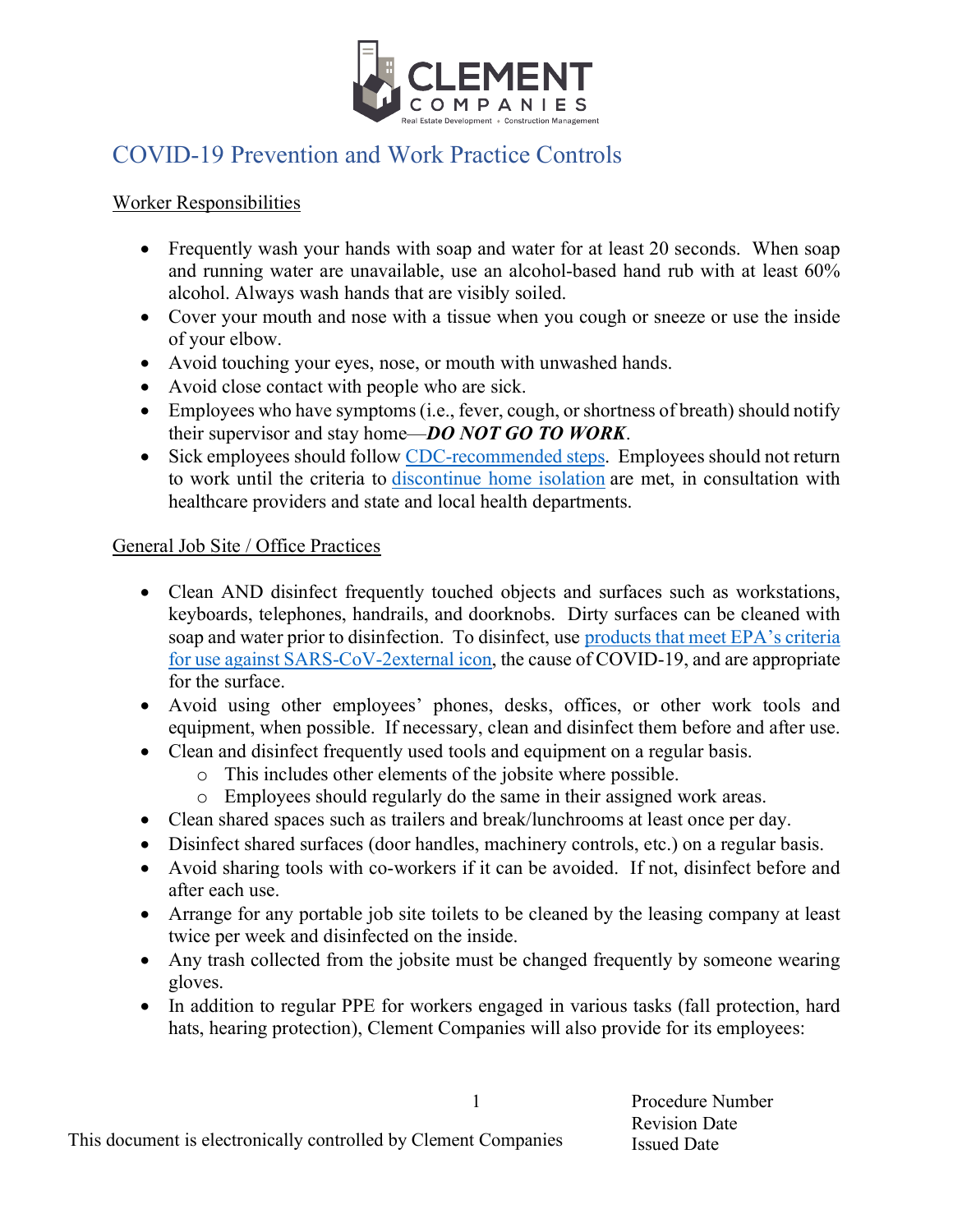

## COVID-19 Prevention and Work Practice Controls

## Worker Responsibilities

- Frequently wash your hands with soap and water for at least 20 seconds. When soap and running water are unavailable, use an alcohol-based hand rub with at least 60% alcohol. Always wash hands that are visibly soiled.
- Cover your mouth and nose with a tissue when you cough or sneeze or use the inside of your elbow.
- Avoid touching your eyes, nose, or mouth with unwashed hands.
- Avoid close contact with people who are sick.
- Employees who have symptoms (i.e., fever, cough, or shortness of breath) should notify their supervisor and stay home—*DO NOT GO TO WORK*.
- Sick employees should follow CDC-recommended steps. Employees should not return to work until the criteria to discontinue home isolation are met, in consultation with healthcare providers and state and local health departments.

## General Job Site / Office Practices

- Clean AND disinfect frequently touched objects and surfaces such as workstations, keyboards, telephones, handrails, and doorknobs. Dirty surfaces can be cleaned with soap and water prior to disinfection. To disinfect, use products that meet EPA's criteria for use against SARS-CoV-2external icon, the cause of COVID-19, and are appropriate for the surface.
- Avoid using other employees' phones, desks, offices, or other work tools and equipment, when possible. If necessary, clean and disinfect them before and after use.
- Clean and disinfect frequently used tools and equipment on a regular basis.
	- o This includes other elements of the jobsite where possible.
	- o Employees should regularly do the same in their assigned work areas.
- Clean shared spaces such as trailers and break/lunchrooms at least once per day.
- Disinfect shared surfaces (door handles, machinery controls, etc.) on a regular basis.
- Avoid sharing tools with co-workers if it can be avoided. If not, disinfect before and after each use.
- Arrange for any portable job site toilets to be cleaned by the leasing company at least twice per week and disinfected on the inside.
- Any trash collected from the jobsite must be changed frequently by someone wearing gloves.
- In addition to regular PPE for workers engaged in various tasks (fall protection, hard hats, hearing protection), Clement Companies will also provide for its employees:

Procedure Number Revision Date Issued Date